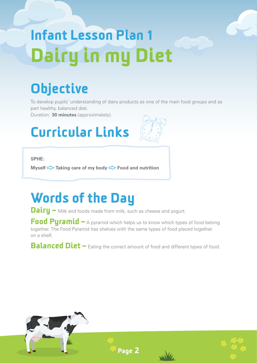# Infant Lesson Plan 1 Dairy in my Diet

# **Objective**

To develop pupils' understanding of dairy products as one of the main food groups and as part healthy, balanced diet.

Duration: **30 minutes** (approximately).

# Curricular Links



**SPHE:**

**Myself**  $\leq$  **Taking care of my body**  $\leq$  **Food and nutrition** 

### Words of the Day

**Dairy** – Milk and foods made from milk, such as cheese and yogurt.

Food Pyramid – A pyramid which helps us to know which types of food belong together. The Food Pyramid has shelves with the same types of food placed together on a shelf.

**Balanced Diet** – Eating the correct amount of food and different types of food.







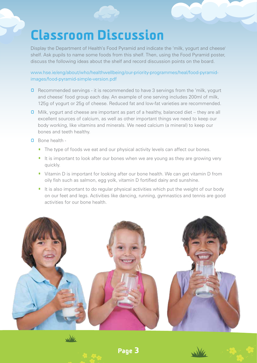#### Classroom Discussion

Display the Department of Health's Food Pyramid and indicate the 'milk, yogurt and cheese' shelf. Ask pupils to name some foods from this shelf. Then, using the Food Pyramid poster, discuss the following ideas about the shelf and record discussion points on the board.

www.hse.ie/eng/about/who/healthwellbeing/our-priority-programmes/heal/food-pyramidimages/food-pyramid-simple-version.pdf

- **Q** Recommended servings it is recommended to have 3 servings from the 'milk, yogurt and cheese' food group each day. An example of one serving includes 200ml of milk, 125g of yogurt or 25g of cheese. Reduced fat and low-fat varieties are recommended.
- Milk, yogurt and cheese are important as part of a healthy, balanced diet they are all excellent sources of calcium, as well as other important things we need to keep our body working, like vitamins and minerals. We need calcium (a mineral) to keep our bones and teeth healthy.
- Bone health
	- The type of foods we eat and our physical activity levels can affect our bones.
	- · It is important to look after our bones when we are young as they are growing very quickly.
	- · Vitamin D is important for looking after our bone health. We can get vitamin D from oily fish such as salmon, egg yolk, vitamin D fortified dairy and sunshine.
	- · It is also important to do regular physical activities which put the weight of our body on our feet and legs. Activities like dancing, running, gymnastics and tennis are good activities for our bone health.



Page 3

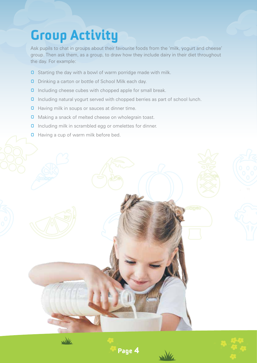## Group Activity

Ask pupils to chat in groups about their favourite foods from the 'milk, yogurt and cheese' group. Then ask them, as a group, to draw how they include dairy in their diet throughout the day. For example:

- **D** Starting the day with a bowl of warm porridge made with milk.
- **D** Drinking a carton or bottle of School Milk each day.
- **0** Including cheese cubes with chopped apple for small break.
- **0** Including natural yogurt served with chopped berries as part of school lunch.
- **O** Having milk in soups or sauces at dinner time.
- **O** Making a snack of melted cheese on wholegrain toast.
- **0** Including milk in scrambled egg or omelettes for dinner.
- **Q** Having a cup of warm milk before bed.